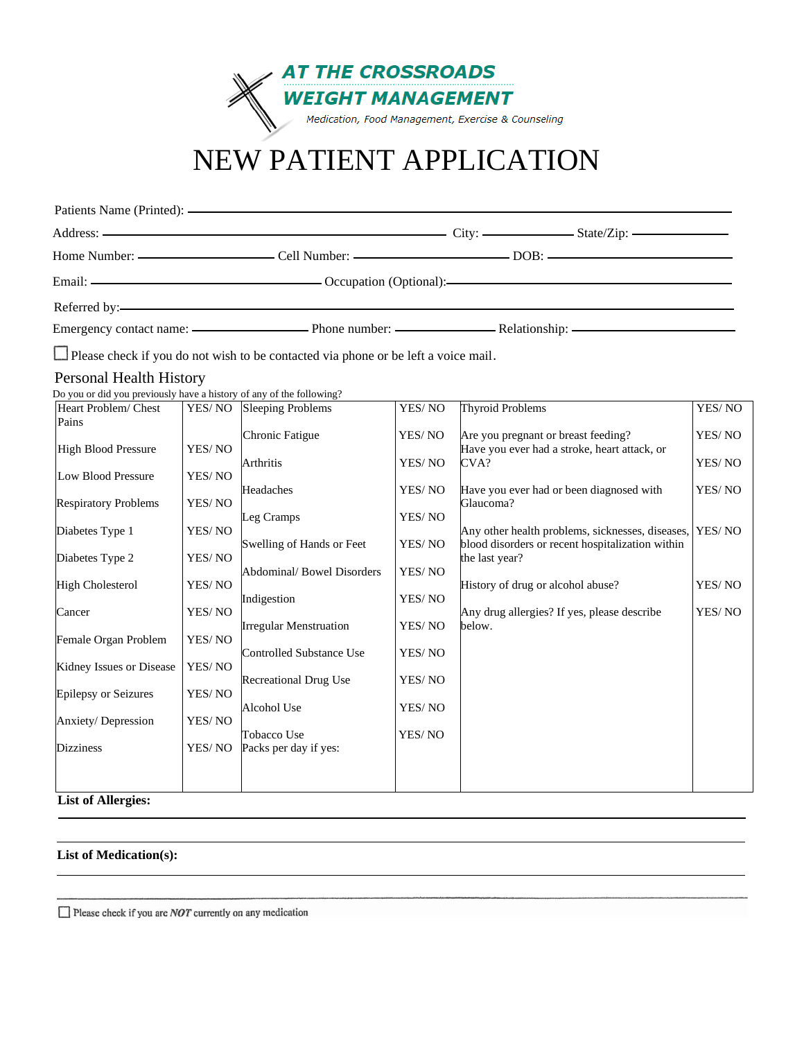

# NEW PATIENT APPLICATION

| $Address:$ $\longrightarrow$ $City:$ $\longrightarrow$ $State/Zip:$              |  |  |
|----------------------------------------------------------------------------------|--|--|
| Home Number: ————————————————Cell Number: ————————————————DOB: ————————————————— |  |  |
|                                                                                  |  |  |
|                                                                                  |  |  |
|                                                                                  |  |  |

Please check if you do not wish to be contacted via phone or be left a voice mail.

#### Personal Health History

Do you or did you previously have a history of any of the following?

| Heart Problem/ Chest        | YES/NO | <b>Sleeping Problems</b>        | YES/NO | <b>Thyroid Problems</b>                                 | YES/NO |
|-----------------------------|--------|---------------------------------|--------|---------------------------------------------------------|--------|
| Pains                       |        |                                 |        |                                                         |        |
|                             |        | Chronic Fatigue                 | YES/NO | Are you pregnant or breast feeding?                     | YES/NO |
| <b>High Blood Pressure</b>  | YES/NO |                                 |        | Have you ever had a stroke, heart attack, or            |        |
|                             |        | Arthritis                       | YES/NO | CVA?                                                    | YES/NO |
| Low Blood Pressure          | YES/NO |                                 |        |                                                         |        |
| <b>Respiratory Problems</b> | YES/NO | Headaches                       | YES/NO | Have you ever had or been diagnosed with<br>Glaucoma?   | YES/NO |
|                             |        | Leg Cramps                      | YES/NO |                                                         |        |
| Diabetes Type 1             | YES/NO |                                 |        | Any other health problems, sicknesses, diseases, YES/NO |        |
|                             |        | Swelling of Hands or Feet       | YES/NO | blood disorders or recent hospitalization within        |        |
| Diabetes Type 2             | YES/NO |                                 |        | the last year?                                          |        |
|                             |        | Abdominal/ Bowel Disorders      | YES/NO |                                                         |        |
| <b>High Cholesterol</b>     | YES/NO |                                 |        | History of drug or alcohol abuse?                       | YES/NO |
|                             |        | Indigestion                     | YES/NO |                                                         |        |
| Cancer                      | YES/NO |                                 |        | Any drug allergies? If yes, please describe             | YES/NO |
|                             |        | <b>Irregular Menstruation</b>   | YES/NO | below.                                                  |        |
| Female Organ Problem        | YES/NO |                                 |        |                                                         |        |
|                             |        | <b>Controlled Substance Use</b> | YES/NO |                                                         |        |
| Kidney Issues or Disease    | YES/NO |                                 |        |                                                         |        |
|                             |        | <b>Recreational Drug Use</b>    | YES/NO |                                                         |        |
| <b>Epilepsy or Seizures</b> | YES/NO |                                 |        |                                                         |        |
| Anxiety/Depression          | YES/NO | Alcohol Use                     | YES/NO |                                                         |        |
|                             |        | Tobacco Use                     | YES/NO |                                                         |        |
| <b>Dizziness</b>            | YES/NO | Packs per day if yes:           |        |                                                         |        |
|                             |        |                                 |        |                                                         |        |
|                             |        |                                 |        |                                                         |        |
|                             |        |                                 |        |                                                         |        |
| <b>List of Allergies:</b>   |        |                                 |        |                                                         |        |

#### **List of Medication(s):**

 $\Box$  Please check if you are *NOT* currently on any medication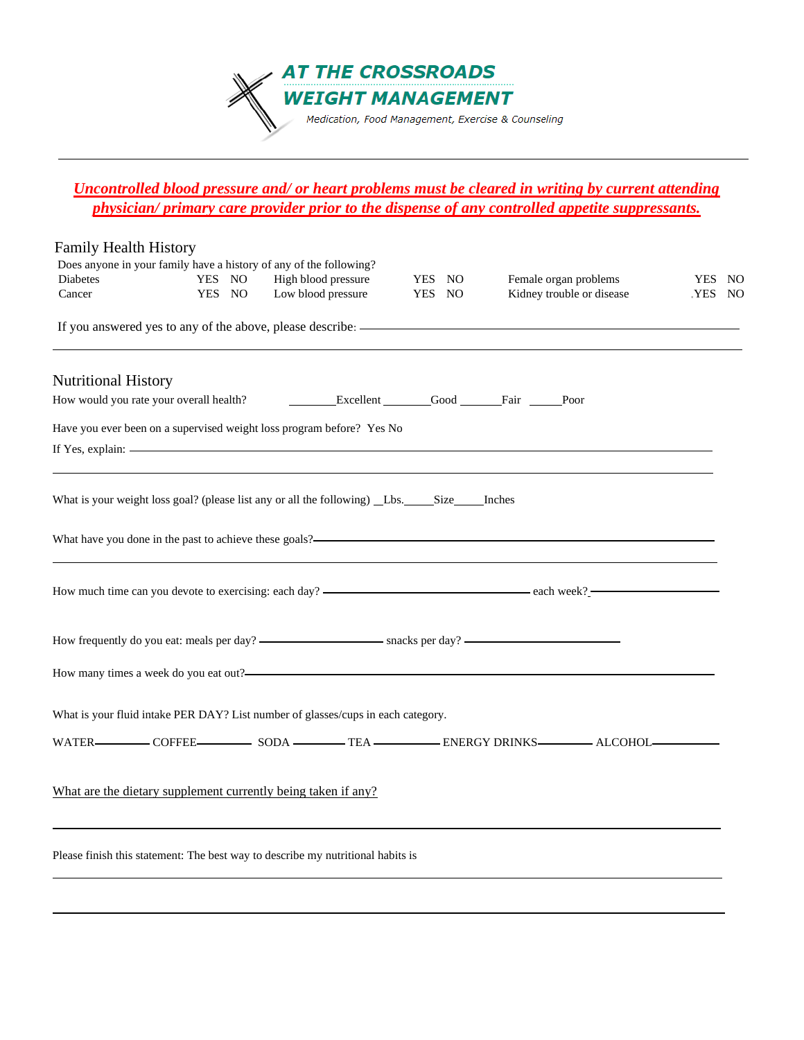

### *Uncontrolled blood pressure and/ or heart problems must be cleared in writing by current attending physician/ primary care provider prior to the dispense of any controlled appetite suppressants.*

| <b>Family Health History</b>                                       |                  |                                                                                                                                                                                                                                                                                                                                                                                                                                                                                             |                  |                                                                                              |                  |  |
|--------------------------------------------------------------------|------------------|---------------------------------------------------------------------------------------------------------------------------------------------------------------------------------------------------------------------------------------------------------------------------------------------------------------------------------------------------------------------------------------------------------------------------------------------------------------------------------------------|------------------|----------------------------------------------------------------------------------------------|------------------|--|
| Does anyone in your family have a history of any of the following? |                  |                                                                                                                                                                                                                                                                                                                                                                                                                                                                                             |                  |                                                                                              |                  |  |
| Diabetes<br>Cancer                                                 | YES NO<br>YES NO | High blood pressure<br>Low blood pressure                                                                                                                                                                                                                                                                                                                                                                                                                                                   | YES NO<br>YES NO | Female organ problems<br>Kidney trouble or disease                                           | YES NO<br>YES NO |  |
|                                                                    |                  |                                                                                                                                                                                                                                                                                                                                                                                                                                                                                             |                  |                                                                                              |                  |  |
|                                                                    |                  |                                                                                                                                                                                                                                                                                                                                                                                                                                                                                             |                  |                                                                                              |                  |  |
| <b>Nutritional History</b>                                         |                  |                                                                                                                                                                                                                                                                                                                                                                                                                                                                                             |                  |                                                                                              |                  |  |
| How would you rate your overall health?                            |                  | Excellent Good Fair Poor                                                                                                                                                                                                                                                                                                                                                                                                                                                                    |                  |                                                                                              |                  |  |
|                                                                    |                  |                                                                                                                                                                                                                                                                                                                                                                                                                                                                                             |                  |                                                                                              |                  |  |
|                                                                    |                  | Have you ever been on a supervised weight loss program before? Yes No<br>If Yes, explain: $\frac{1}{\sqrt{1-\frac{1}{\sqrt{1-\frac{1}{\sqrt{1-\frac{1}{\sqrt{1-\frac{1}{\sqrt{1-\frac{1}{\sqrt{1-\frac{1}{\sqrt{1-\frac{1}{\sqrt{1-\frac{1}{\sqrt{1-\frac{1}{\sqrt{1-\frac{1}{\sqrt{1-\frac{1}{\sqrt{1-\frac{1}{\sqrt{1-\frac{1}{\sqrt{1-\frac{1}{\sqrt{1-\frac{1}{\sqrt{1-\frac{1}{\sqrt{1-\frac{1}{\sqrt{1-\frac{1}{\sqrt{1-\frac{1}{\sqrt{1-\frac{1}{\sqrt{1-\frac{1}{\sqrt{1-\frac{1}{$ |                  |                                                                                              |                  |  |
|                                                                    |                  |                                                                                                                                                                                                                                                                                                                                                                                                                                                                                             |                  |                                                                                              |                  |  |
|                                                                    |                  |                                                                                                                                                                                                                                                                                                                                                                                                                                                                                             |                  |                                                                                              |                  |  |
|                                                                    |                  |                                                                                                                                                                                                                                                                                                                                                                                                                                                                                             |                  |                                                                                              |                  |  |
|                                                                    |                  |                                                                                                                                                                                                                                                                                                                                                                                                                                                                                             |                  | What have you done in the past to achieve these goals?—————————————————————————————————      |                  |  |
|                                                                    |                  |                                                                                                                                                                                                                                                                                                                                                                                                                                                                                             |                  |                                                                                              |                  |  |
|                                                                    |                  |                                                                                                                                                                                                                                                                                                                                                                                                                                                                                             |                  |                                                                                              |                  |  |
|                                                                    |                  |                                                                                                                                                                                                                                                                                                                                                                                                                                                                                             |                  | How much time can you devote to exercising: each day? ——————————————————————————— each week? |                  |  |
|                                                                    |                  |                                                                                                                                                                                                                                                                                                                                                                                                                                                                                             |                  |                                                                                              |                  |  |
|                                                                    |                  |                                                                                                                                                                                                                                                                                                                                                                                                                                                                                             |                  |                                                                                              |                  |  |
|                                                                    |                  |                                                                                                                                                                                                                                                                                                                                                                                                                                                                                             |                  |                                                                                              |                  |  |
|                                                                    |                  |                                                                                                                                                                                                                                                                                                                                                                                                                                                                                             |                  |                                                                                              |                  |  |
|                                                                    |                  | What is your fluid intake PER DAY? List number of glasses/cups in each category.                                                                                                                                                                                                                                                                                                                                                                                                            |                  |                                                                                              |                  |  |
|                                                                    |                  |                                                                                                                                                                                                                                                                                                                                                                                                                                                                                             |                  | WATER COFFEE COFFEE SODA TEA TEA ENERGY DRINKS ALCOHOL                                       |                  |  |
|                                                                    |                  |                                                                                                                                                                                                                                                                                                                                                                                                                                                                                             |                  |                                                                                              |                  |  |
| What are the dietary supplement currently being taken if any?      |                  |                                                                                                                                                                                                                                                                                                                                                                                                                                                                                             |                  |                                                                                              |                  |  |
|                                                                    |                  |                                                                                                                                                                                                                                                                                                                                                                                                                                                                                             |                  |                                                                                              |                  |  |
|                                                                    |                  |                                                                                                                                                                                                                                                                                                                                                                                                                                                                                             |                  |                                                                                              |                  |  |
|                                                                    |                  | Please finish this statement: The best way to describe my nutritional habits is                                                                                                                                                                                                                                                                                                                                                                                                             |                  |                                                                                              |                  |  |
|                                                                    |                  |                                                                                                                                                                                                                                                                                                                                                                                                                                                                                             |                  |                                                                                              |                  |  |
|                                                                    |                  |                                                                                                                                                                                                                                                                                                                                                                                                                                                                                             |                  |                                                                                              |                  |  |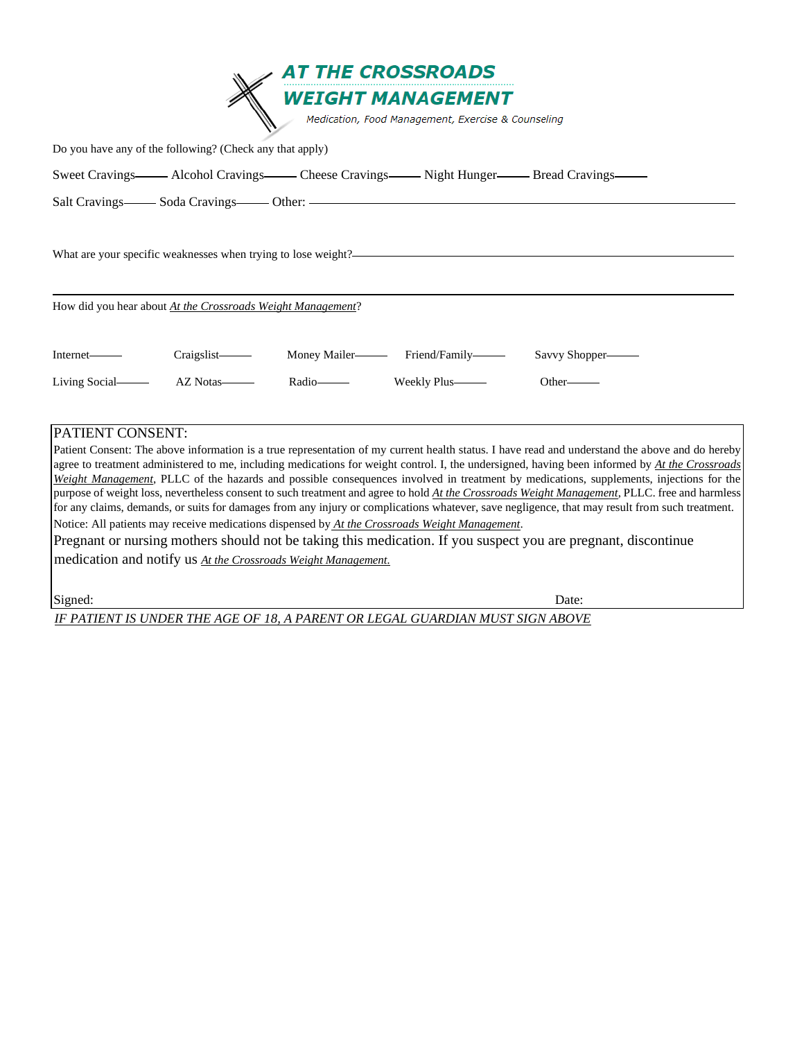|                                                                                                                                                                                                                                                                                                                                                                                                                                                                                                                                                                                                                                                                                                                                                                                                                                                                                                                                                                                        | <b>AT THE CROSSROADS</b>                                                       |                 |
|----------------------------------------------------------------------------------------------------------------------------------------------------------------------------------------------------------------------------------------------------------------------------------------------------------------------------------------------------------------------------------------------------------------------------------------------------------------------------------------------------------------------------------------------------------------------------------------------------------------------------------------------------------------------------------------------------------------------------------------------------------------------------------------------------------------------------------------------------------------------------------------------------------------------------------------------------------------------------------------|--------------------------------------------------------------------------------|-----------------|
|                                                                                                                                                                                                                                                                                                                                                                                                                                                                                                                                                                                                                                                                                                                                                                                                                                                                                                                                                                                        | <b>WEIGHT MANAGEMENT</b><br>Medication, Food Management, Exercise & Counseling |                 |
| Do you have any of the following? (Check any that apply)                                                                                                                                                                                                                                                                                                                                                                                                                                                                                                                                                                                                                                                                                                                                                                                                                                                                                                                               |                                                                                |                 |
| Sweet Cravings—— Alcohol Cravings—— Cheese Cravings—— Night Hunger—— Bread Cravings——                                                                                                                                                                                                                                                                                                                                                                                                                                                                                                                                                                                                                                                                                                                                                                                                                                                                                                  |                                                                                |                 |
| Salt Cravings- Soda Cravings- Other: - Contract Cravings- Soda Cravings Contract Contract Contract Contract Contract Contract Contract Contract Contract Contract Contract Contract Contract Contract Contract Contract Contra                                                                                                                                                                                                                                                                                                                                                                                                                                                                                                                                                                                                                                                                                                                                                         |                                                                                |                 |
| What are your specific weaknesses when trying to lose weight?                                                                                                                                                                                                                                                                                                                                                                                                                                                                                                                                                                                                                                                                                                                                                                                                                                                                                                                          |                                                                                |                 |
| How did you hear about At the Crossroads Weight Management?                                                                                                                                                                                                                                                                                                                                                                                                                                                                                                                                                                                                                                                                                                                                                                                                                                                                                                                            |                                                                                |                 |
| Craigslist—<br>Internet—                                                                                                                                                                                                                                                                                                                                                                                                                                                                                                                                                                                                                                                                                                                                                                                                                                                                                                                                                               |                                                                                | Savvy Shopper—— |
| Living Social AZ Notas                                                                                                                                                                                                                                                                                                                                                                                                                                                                                                                                                                                                                                                                                                                                                                                                                                                                                                                                                                 | Radio-Radio Weekly Plus-                                                       | Other——         |
| PATIENT CONSENT:<br>Patient Consent: The above information is a true representation of my current health status. I have read and understand the above and do hereby<br>agree to treatment administered to me, including medications for weight control. I, the undersigned, having been informed by At the Crossroads<br>Weight Management, PLLC of the hazards and possible consequences involved in treatment by medications, supplements, injections for the<br>purpose of weight loss, nevertheless consent to such treatment and agree to hold At the Crossroads Weight Management, PLLC. free and harmless<br>for any claims, demands, or suits for damages from any injury or complications whatever, save negligence, that may result from such treatment.<br>Notice: All patients may receive medications dispensed by At the Crossroads Weight Management.<br>Pregnant or nursing mothers should not be taking this medication. If you suspect you are pregnant, discontinue |                                                                                |                 |

medication and notify us *At the Crossroads Weight Management.*

Signed: Date: Date: Date: Date: Date: Date: Date: Date: Date: Date: Date: Date: Date: Date: Date: Date: Date: Date: Date: Date: Date: Date: Date: Date: Date: Date: Date: Date: Date: Date: Date: Date: Date: Date: Date: Date

*IF PATIENT IS UNDER THE AGE OF 18, A PARENT OR LEGAL GUARDIAN MUST SIGN ABOVE*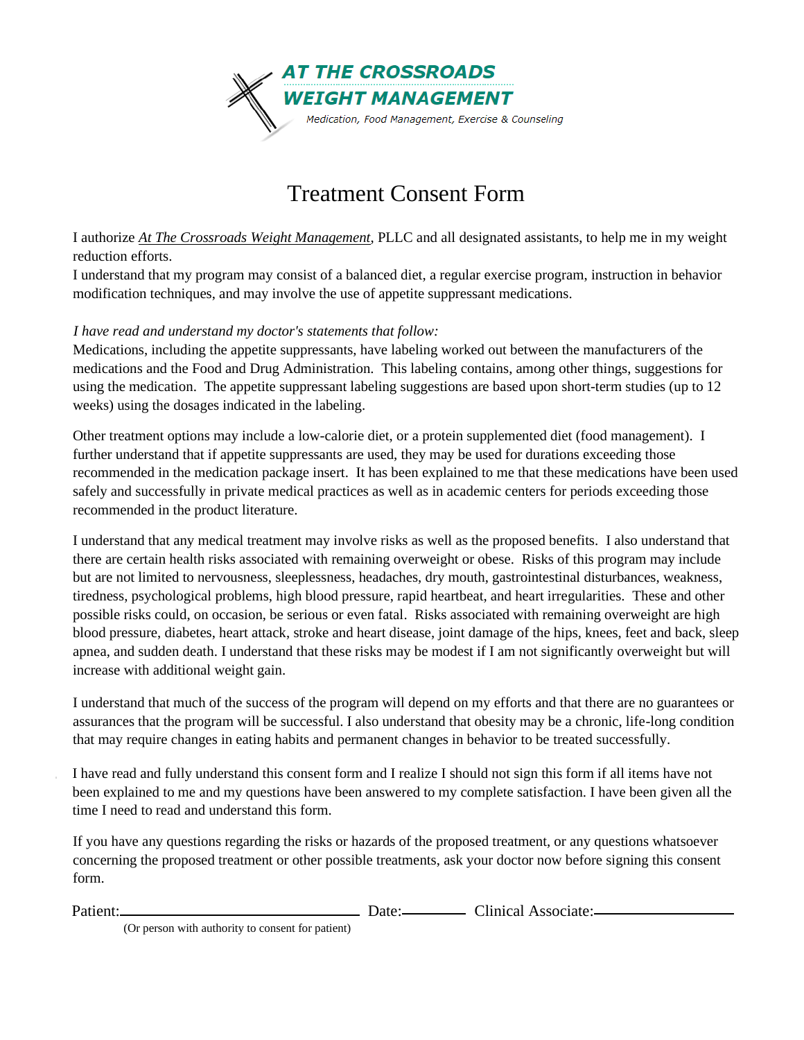

### Treatment Consent Form

I authorize *At The Crossroads Weight Management*, PLLC and all designated assistants, to help me in my weight reduction efforts.

I understand that my program may consist of a balanced diet, a regular exercise program, instruction in behavior modification techniques, and may involve the use of appetite suppressant medications.

#### *I have read and understand my doctor's statements that follow:*

Medications, including the appetite suppressants, have labeling worked out between the manufacturers of the medications and the Food and Drug Administration. This labeling contains, among other things, suggestions for using the medication. The appetite suppressant labeling suggestions are based upon short-term studies (up to 12 weeks) using the dosages indicated in the labeling.

Other treatment options may include a low-calorie diet, or a protein supplemented diet (food management). I further understand that if appetite suppressants are used, they may be used for durations exceeding those recommended in the medication package insert. It has been explained to me that these medications have been used safely and successfully in private medical practices as well as in academic centers for periods exceeding those recommended in the product literature.

I understand that any medical treatment may involve risks as well as the proposed benefits. I also understand that there are certain health risks associated with remaining overweight or obese. Risks of this program may include but are not limited to nervousness, sleeplessness, headaches, dry mouth, gastrointestinal disturbances, weakness, tiredness, psychological problems, high blood pressure, rapid heartbeat, and heart irregularities. These and other possible risks could, on occasion, be serious or even fatal. Risks associated with remaining overweight are high blood pressure, diabetes, heart attack, stroke and heart disease, joint damage of the hips, knees, feet and back, sleep apnea, and sudden death. I understand that these risks may be modest if I am not significantly overweight but will increase with additional weight gain.

I understand that much of the success of the program will depend on my efforts and that there are no guarantees or assurances that the program will be successful. I also understand that obesity may be a chronic, life-long condition that may require changes in eating habits and permanent changes in behavior to be treated successfully.

I have read and fully understand this consent form and I realize I should not sign this form if all items have not been explained to me and my questions have been answered to my complete satisfaction. I have been given all the time I need to read and understand this form.

If you have any questions regarding the risks or hazards of the proposed treatment, or any questions whatsoever concerning the proposed treatment or other possible treatments, ask your doctor now before signing this consent form.

Patient: Date: Clinical Associate:

(Or person with authority to consent for patient)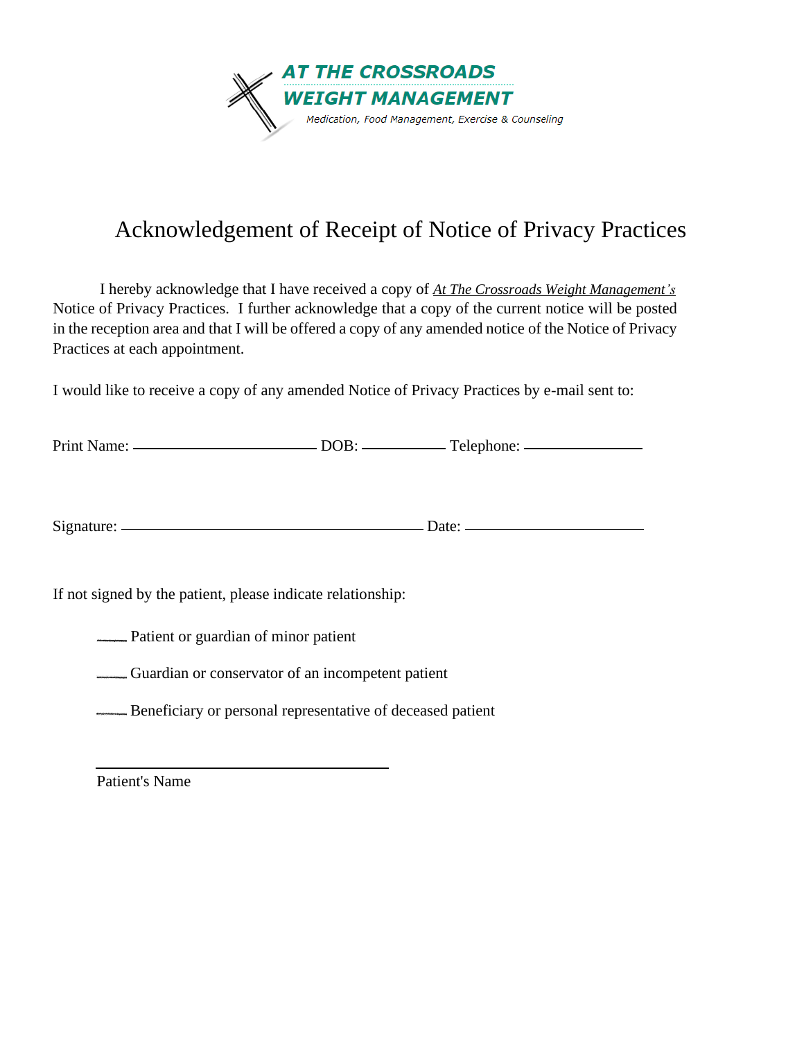

### Acknowledgement of Receipt of Notice of Privacy Practices

I hereby acknowledge that I have received a copy of *At The Crossroads Weight Management's* Notice of Privacy Practices. I further acknowledge that a copy of the current notice will be posted in the reception area and that I will be offered a copy of any amended notice of the Notice of Privacy Practices at each appointment.

I would like to receive a copy of any amended Notice of Privacy Practices by e-mail sent to:

| <b>Print Name:</b> | <b>DOR</b> | Telephone: |
|--------------------|------------|------------|
|                    |            |            |

Signature: Date:

If not signed by the patient, please indicate relationship:

**EXECUTE:** Patient or guardian of minor patient

Guardian or conservator of an incompetent patient

**EXECUTE:** Beneficiary or personal representative of deceased patient

Patient's Name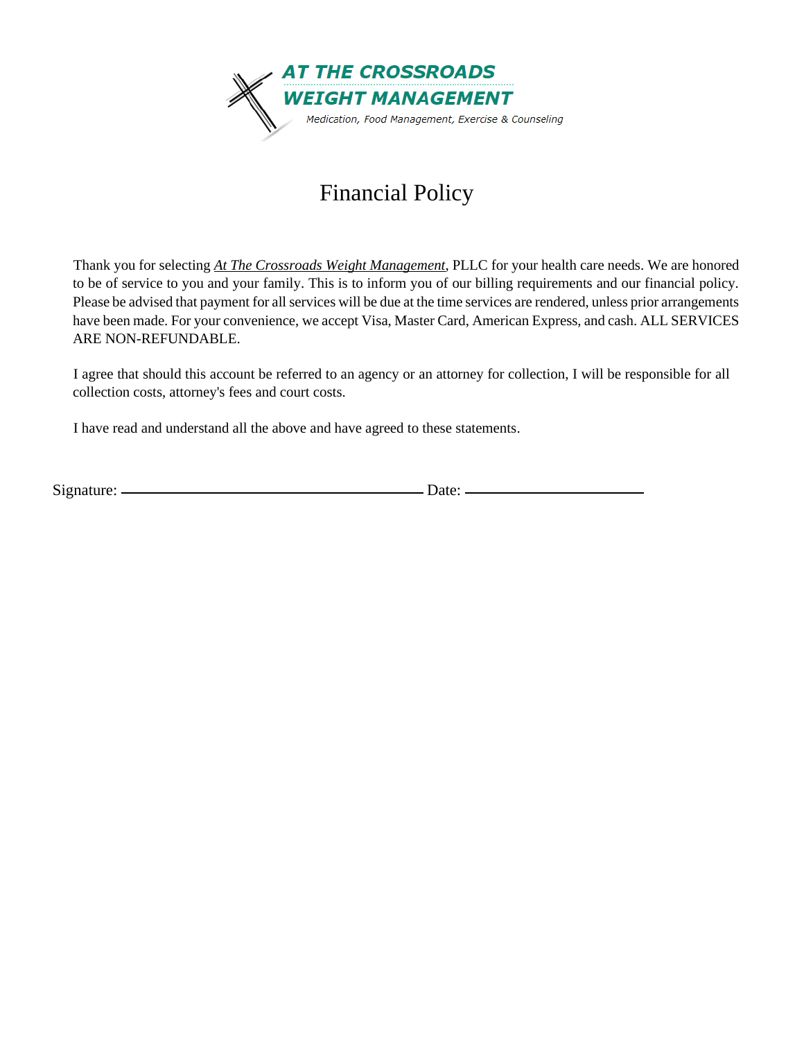

## Financial Policy

Thank you for selecting *At The Crossroads Weight Management*, PLLC for your health care needs. We are honored to be of service to you and your family. This is to inform you of our billing requirements and our financial policy. Please be advised that payment for all services will be due at the time services are rendered, unless prior arrangements have been made. For your convenience, we accept Visa, Master Card, American Express, and cash. ALL SERVICES ARE NON-REFUNDABLE.

I agree that should this account be referred to an agency or an attorney for collection, I will be responsible for all collection costs, attorney's fees and court costs.

I have read and understand all the above and have agreed to these statements.

Signature: Date: